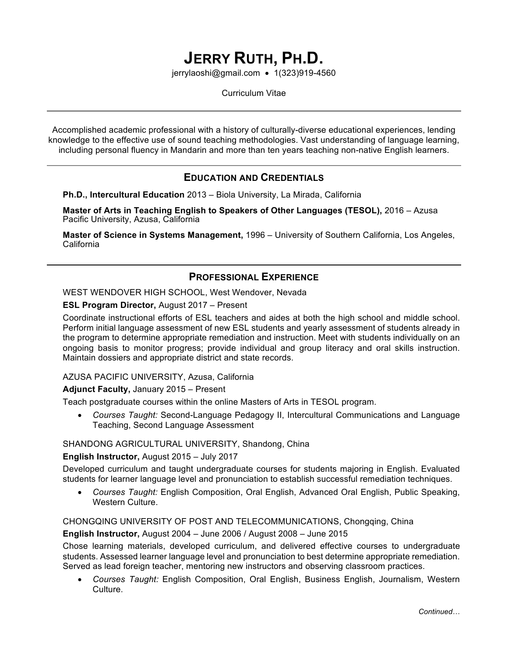# **JERRY RUTH, PH.D.**

jerrylaoshi@gmail.com • 1(323)919-4560

Curriculum Vitae

Accomplished academic professional with a history of culturally-diverse educational experiences, lending knowledge to the effective use of sound teaching methodologies. Vast understanding of language learning, including personal fluency in Mandarin and more than ten years teaching non-native English learners.

## **EDUCATION AND CREDENTIALS**

**Ph.D., Intercultural Education** 2013 – Biola University, La Mirada, California

**Master of Arts in Teaching English to Speakers of Other Languages (TESOL),** 2016 – Azusa Pacific University, Azusa, California

**Master of Science in Systems Management,** 1996 – University of Southern California, Los Angeles, California

## **PROFESSIONAL EXPERIENCE**

WEST WENDOVER HIGH SCHOOL, West Wendover, Nevada

#### **ESL Program Director,** August 2017 – Present

Coordinate instructional efforts of ESL teachers and aides at both the high school and middle school. Perform initial language assessment of new ESL students and yearly assessment of students already in the program to determine appropriate remediation and instruction. Meet with students individually on an ongoing basis to monitor progress; provide individual and group literacy and oral skills instruction. Maintain dossiers and appropriate district and state records.

#### AZUSA PACIFIC UNIVERSITY, Azusa, California

#### **Adjunct Faculty,** January 2015 – Present

Teach postgraduate courses within the online Masters of Arts in TESOL program.

• *Courses Taught:* Second-Language Pedagogy II, Intercultural Communications and Language Teaching, Second Language Assessment

#### SHANDONG AGRICULTURAL UNIVERSITY, Shandong, China

#### **English Instructor,** August 2015 – July 2017

Developed curriculum and taught undergraduate courses for students majoring in English. Evaluated students for learner language level and pronunciation to establish successful remediation techniques.

• *Courses Taught:* English Composition, Oral English, Advanced Oral English, Public Speaking, Western Culture.

CHONGQING UNIVERSITY OF POST AND TELECOMMUNICATIONS, Chongqing, China

#### **English Instructor,** August 2004 – June 2006 / August 2008 – June 2015

Chose learning materials, developed curriculum, and delivered effective courses to undergraduate students. Assessed learner language level and pronunciation to best determine appropriate remediation. Served as lead foreign teacher, mentoring new instructors and observing classroom practices.

• *Courses Taught:* English Composition, Oral English, Business English, Journalism, Western Culture.